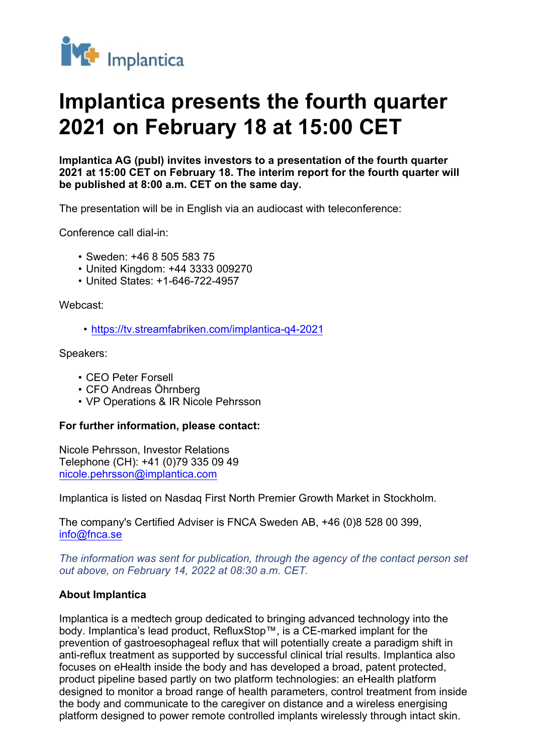

## **Implantica presents the fourth quarter 2021 on February 18 at 15:00 CET**

**Implantica AG (publ) invites investors to a presentation of the fourth quarter 2021 at 15:00 CET on February 18. The interim report for the fourth quarter will be published at 8:00 a.m. CET on the same day.**

The presentation will be in English via an audiocast with teleconference:

Conference call dial-in:

- Sweden: +46 8 505 583 75
- United Kingdom: +44 3333 009270
- United States: +1-646-722-4957

Webcast:

• <https://tv.streamfabriken.com/implantica-q4-2021>

Speakers:

- CEO Peter Forsell
- CFO Andreas Öhrnberg
- VP Operations & IR Nicole Pehrsson

## **For further information, please contact:**

Nicole Pehrsson, Investor Relations Telephone (CH): +41 (0)79 335 09 49 [nicole.pehrsson@implantica.com](mailto:nicole.pehrsson@implantica.com)

Implantica is listed on Nasdaq First North Premier Growth Market in Stockholm.

The company's Certified Adviser is FNCA Sweden AB, +46 (0)8 528 00 399, [info@fnca.se](mailto:info@fnca.se)

*The information was sent for publication, through the agency of the contact person set out above, on February 14, 2022 at 08:30 a.m. CET.*

## **About Implantica**

Implantica is a medtech group dedicated to bringing advanced technology into the body. Implantica's lead product, RefluxStop™, is a CE-marked implant for the prevention of gastroesophageal reflux that will potentially create a paradigm shift in anti-reflux treatment as supported by successful clinical trial results. Implantica also focuses on eHealth inside the body and has developed a broad, patent protected, product pipeline based partly on two platform technologies: an eHealth platform designed to monitor a broad range of health parameters, control treatment from inside the body and communicate to the caregiver on distance and a wireless energising platform designed to power remote controlled implants wirelessly through intact skin.